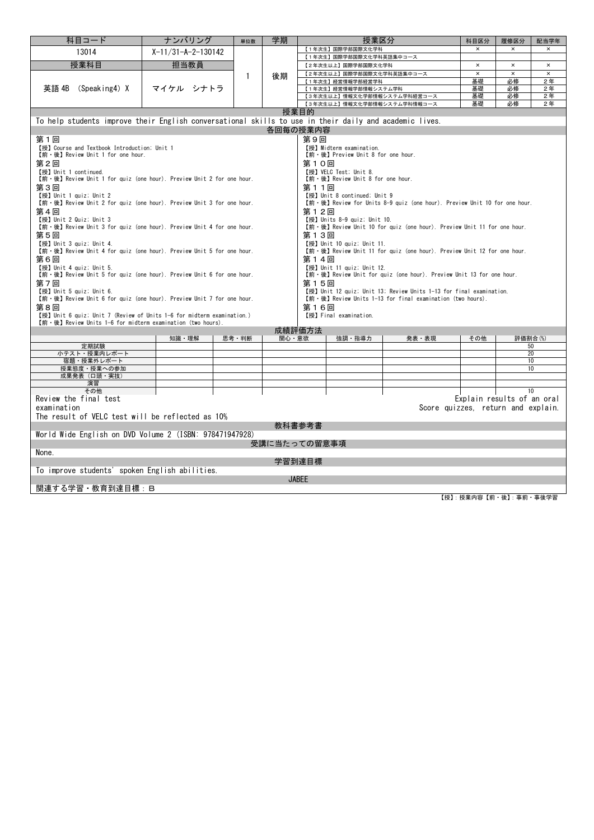| 科目コード                                                                                                                                                                                                                                                                                                                                                                                                                                                                                                                                                                                                                                                                                                                                                                                                                                                                                                                                                                                                                                                                                                                                                                                                                                                                                                                                                                                                                                                                                                                                  | ナンバリング               | 単位数          | 学期           |              | 授業区分                                            |                                    | 科目区分                       | 履修区分                 | 配当学年                       |  |  |  |  |  |  |
|----------------------------------------------------------------------------------------------------------------------------------------------------------------------------------------------------------------------------------------------------------------------------------------------------------------------------------------------------------------------------------------------------------------------------------------------------------------------------------------------------------------------------------------------------------------------------------------------------------------------------------------------------------------------------------------------------------------------------------------------------------------------------------------------------------------------------------------------------------------------------------------------------------------------------------------------------------------------------------------------------------------------------------------------------------------------------------------------------------------------------------------------------------------------------------------------------------------------------------------------------------------------------------------------------------------------------------------------------------------------------------------------------------------------------------------------------------------------------------------------------------------------------------------|----------------------|--------------|--------------|--------------|-------------------------------------------------|------------------------------------|----------------------------|----------------------|----------------------------|--|--|--|--|--|--|
| 13014                                                                                                                                                                                                                                                                                                                                                                                                                                                                                                                                                                                                                                                                                                                                                                                                                                                                                                                                                                                                                                                                                                                                                                                                                                                                                                                                                                                                                                                                                                                                  | $X-11/31-A-2-130142$ |              |              |              | 【1年次生】国際学部国際文化学科                                |                                    | $\pmb{\times}$             | $\pmb{\times}$       | $\pmb{\times}$             |  |  |  |  |  |  |
|                                                                                                                                                                                                                                                                                                                                                                                                                                                                                                                                                                                                                                                                                                                                                                                                                                                                                                                                                                                                                                                                                                                                                                                                                                                                                                                                                                                                                                                                                                                                        |                      |              |              |              | 【1年次生】国際学部国際文化学科英語集中コース                         |                                    |                            |                      |                            |  |  |  |  |  |  |
| 授業科目                                                                                                                                                                                                                                                                                                                                                                                                                                                                                                                                                                                                                                                                                                                                                                                                                                                                                                                                                                                                                                                                                                                                                                                                                                                                                                                                                                                                                                                                                                                                   | 担当教員                 |              |              |              | 【2年次生以上】国際学部国際文化学科<br>【2年次生以上】国際学部国際文化学科英語集中コース |                                    | $\pmb{\times}$<br>$\times$ | $\times$<br>$\times$ | $\pmb{\times}$<br>$\times$ |  |  |  |  |  |  |
|                                                                                                                                                                                                                                                                                                                                                                                                                                                                                                                                                                                                                                                                                                                                                                                                                                                                                                                                                                                                                                                                                                                                                                                                                                                                                                                                                                                                                                                                                                                                        |                      | $\mathbf{1}$ | 後期           |              | 【1年次生】経営情報学部経営学科                                |                                    | 基礎                         | 必修                   | 2年                         |  |  |  |  |  |  |
| $(Speaking4)$ X<br>英語 4B                                                                                                                                                                                                                                                                                                                                                                                                                                                                                                                                                                                                                                                                                                                                                                                                                                                                                                                                                                                                                                                                                                                                                                                                                                                                                                                                                                                                                                                                                                               | マイケル シナトラ            |              |              |              | 【1年次生】経営情報学部情報システム学科                            |                                    | 基礎                         | 必修                   | 2年                         |  |  |  |  |  |  |
|                                                                                                                                                                                                                                                                                                                                                                                                                                                                                                                                                                                                                                                                                                                                                                                                                                                                                                                                                                                                                                                                                                                                                                                                                                                                                                                                                                                                                                                                                                                                        |                      |              |              |              |                                                 | 【3年次生以上】情報文化学部情報システム学科経営コース        | 基礎                         | 必修                   | 2年                         |  |  |  |  |  |  |
|                                                                                                                                                                                                                                                                                                                                                                                                                                                                                                                                                                                                                                                                                                                                                                                                                                                                                                                                                                                                                                                                                                                                                                                                                                                                                                                                                                                                                                                                                                                                        |                      |              |              |              |                                                 | 【3年次生以上】情報文化学部情報システム学科情報コース        | 基礎                         | 必修                   | 2年                         |  |  |  |  |  |  |
|                                                                                                                                                                                                                                                                                                                                                                                                                                                                                                                                                                                                                                                                                                                                                                                                                                                                                                                                                                                                                                                                                                                                                                                                                                                                                                                                                                                                                                                                                                                                        |                      |              |              | 授業目的         |                                                 |                                    |                            |                      |                            |  |  |  |  |  |  |
| To help students improve their English conversational skills to use in their daily and academic lives.                                                                                                                                                                                                                                                                                                                                                                                                                                                                                                                                                                                                                                                                                                                                                                                                                                                                                                                                                                                                                                                                                                                                                                                                                                                                                                                                                                                                                                 |                      |              |              |              |                                                 |                                    |                            |                      |                            |  |  |  |  |  |  |
|                                                                                                                                                                                                                                                                                                                                                                                                                                                                                                                                                                                                                                                                                                                                                                                                                                                                                                                                                                                                                                                                                                                                                                                                                                                                                                                                                                                                                                                                                                                                        |                      |              |              | 各回毎の授業内容     |                                                 |                                    |                            |                      |                            |  |  |  |  |  |  |
| 第9回<br>第1回<br>【授】 Course and Textbook Introduction; Unit 1<br>【授】Midterm examination.<br>【前·後】 Review Unit 1 for one hour.<br>【前·後】 Preview Unit 8 for one hour.<br>第2回<br>第10回<br>【授】 Unit 1 continued.<br>【授】VELC Test; Unit 8.<br>【前·後】 Review Unit 1 for quiz (one hour). Preview Unit 2 for one hour.<br>【前·後】 Review Unit 8 for one hour.<br>第3回<br>第11回<br>【授】 Unit 1 quiz; Unit 2<br>【授】 Unit 8 continued; Unit 9<br>【前·後】 Review Unit 2 for quiz (one hour). Preview Unit 3 for one hour.<br>【前·後】Review for Units 8-9 quiz (one hour). Preview Unit 10 for one hour.<br>第4回<br>第12回<br>【授】 Unit 2 Quiz; Unit 3<br>【授】 Units 8-9 quiz; Unit 10.<br>【前·後】 Review Unit 3 for quiz (one hour). Preview Unit 4 for one hour.<br>【前·後】Review Unit 10 for quiz (one hour). Preview Unit 11 for one hour.<br>第5回<br>第13回<br>【授】 Unit 3 quiz; Unit 4.<br>【授】 Unit 10 quiz; Unit 11.<br>【前·後】 Review Unit 4 for quiz (one hour). Preview Unit 5 for one hour.<br>【前·後】 Review Unit 11 for quiz (one hour). Preview Unit 12 for one hour.<br>第6回<br>第14回<br>【授】Unit 4 quiz; Unit 5.<br>【授】 Unit 11 quiz; Unit 12.<br>【前·後】 Review Unit 5 for quiz (one hour). Preview Unit 6 for one hour.<br>【前·後】Review Unit for quiz (one hour). Preview Unit 13 for one hour.<br>第7回<br>第15回<br>【授】Unit 5 quiz; Unit 6.<br>【授】Unit 12 quiz; Unit 13; Review Units 1-13 for final examination.<br>【前·後】 Review Units 1-13 for final examination (two hours).<br>【前·後】 Review Unit 6 for quiz (one hour). Preview Unit 7 for one hour.<br>第8回<br>第16回 |                      |              |              |              |                                                 |                                    |                            |                      |                            |  |  |  |  |  |  |
| 【授】 Unit 6 quiz; Unit 7 (Review of Units 1-6 for midterm examination.)<br>【前·後】 Review Units 1-6 for midterm examination (two hours).                                                                                                                                                                                                                                                                                                                                                                                                                                                                                                                                                                                                                                                                                                                                                                                                                                                                                                                                                                                                                                                                                                                                                                                                                                                                                                                                                                                                  |                      |              |              |              | 【授】 Final examination.                          |                                    |                            |                      |                            |  |  |  |  |  |  |
|                                                                                                                                                                                                                                                                                                                                                                                                                                                                                                                                                                                                                                                                                                                                                                                                                                                                                                                                                                                                                                                                                                                                                                                                                                                                                                                                                                                                                                                                                                                                        |                      |              |              | 成績評価方法       |                                                 |                                    |                            |                      |                            |  |  |  |  |  |  |
|                                                                                                                                                                                                                                                                                                                                                                                                                                                                                                                                                                                                                                                                                                                                                                                                                                                                                                                                                                                                                                                                                                                                                                                                                                                                                                                                                                                                                                                                                                                                        | 知識・理解                | 思考·判断        | 関心・意欲        |              | 強調・指導力                                          | 発表·表現                              | その他                        | 評価割合(%)              |                            |  |  |  |  |  |  |
| 定期試験                                                                                                                                                                                                                                                                                                                                                                                                                                                                                                                                                                                                                                                                                                                                                                                                                                                                                                                                                                                                                                                                                                                                                                                                                                                                                                                                                                                                                                                                                                                                   |                      |              |              |              |                                                 |                                    |                            |                      | 50                         |  |  |  |  |  |  |
| 小テスト・授業内レポート<br>宿題・授業外レポート                                                                                                                                                                                                                                                                                                                                                                                                                                                                                                                                                                                                                                                                                                                                                                                                                                                                                                                                                                                                                                                                                                                                                                                                                                                                                                                                                                                                                                                                                                             |                      |              |              |              |                                                 |                                    |                            |                      | 20<br>10 <sup>10</sup>     |  |  |  |  |  |  |
| 授業態度・授業への参加                                                                                                                                                                                                                                                                                                                                                                                                                                                                                                                                                                                                                                                                                                                                                                                                                                                                                                                                                                                                                                                                                                                                                                                                                                                                                                                                                                                                                                                                                                                            |                      |              |              |              |                                                 |                                    |                            |                      | 10                         |  |  |  |  |  |  |
| 成果発表 (口頭·実技)                                                                                                                                                                                                                                                                                                                                                                                                                                                                                                                                                                                                                                                                                                                                                                                                                                                                                                                                                                                                                                                                                                                                                                                                                                                                                                                                                                                                                                                                                                                           |                      |              |              |              |                                                 |                                    |                            |                      |                            |  |  |  |  |  |  |
| 演習                                                                                                                                                                                                                                                                                                                                                                                                                                                                                                                                                                                                                                                                                                                                                                                                                                                                                                                                                                                                                                                                                                                                                                                                                                                                                                                                                                                                                                                                                                                                     |                      |              |              |              |                                                 |                                    |                            |                      |                            |  |  |  |  |  |  |
| その他<br>Review the final test<br>examination                                                                                                                                                                                                                                                                                                                                                                                                                                                                                                                                                                                                                                                                                                                                                                                                                                                                                                                                                                                                                                                                                                                                                                                                                                                                                                                                                                                                                                                                                            |                      |              |              |              |                                                 | Score quizzes, return and explain. | Explain results of an oral |                      | 10                         |  |  |  |  |  |  |
| The result of VELC test will be reflected as 10%                                                                                                                                                                                                                                                                                                                                                                                                                                                                                                                                                                                                                                                                                                                                                                                                                                                                                                                                                                                                                                                                                                                                                                                                                                                                                                                                                                                                                                                                                       |                      |              |              |              |                                                 |                                    |                            |                      |                            |  |  |  |  |  |  |
|                                                                                                                                                                                                                                                                                                                                                                                                                                                                                                                                                                                                                                                                                                                                                                                                                                                                                                                                                                                                                                                                                                                                                                                                                                                                                                                                                                                                                                                                                                                                        |                      |              |              | 教科書参考書       |                                                 |                                    |                            |                      |                            |  |  |  |  |  |  |
| World Wide English on DVD Volume 2 (ISBN: 978471947928)                                                                                                                                                                                                                                                                                                                                                                                                                                                                                                                                                                                                                                                                                                                                                                                                                                                                                                                                                                                                                                                                                                                                                                                                                                                                                                                                                                                                                                                                                |                      |              |              |              |                                                 |                                    |                            |                      |                            |  |  |  |  |  |  |
|                                                                                                                                                                                                                                                                                                                                                                                                                                                                                                                                                                                                                                                                                                                                                                                                                                                                                                                                                                                                                                                                                                                                                                                                                                                                                                                                                                                                                                                                                                                                        |                      |              | 受講に当たっての留意事項 |              |                                                 |                                    |                            |                      |                            |  |  |  |  |  |  |
| None.                                                                                                                                                                                                                                                                                                                                                                                                                                                                                                                                                                                                                                                                                                                                                                                                                                                                                                                                                                                                                                                                                                                                                                                                                                                                                                                                                                                                                                                                                                                                  |                      |              |              |              |                                                 |                                    |                            |                      |                            |  |  |  |  |  |  |
|                                                                                                                                                                                                                                                                                                                                                                                                                                                                                                                                                                                                                                                                                                                                                                                                                                                                                                                                                                                                                                                                                                                                                                                                                                                                                                                                                                                                                                                                                                                                        |                      |              |              | 学習到達目標       |                                                 |                                    |                            |                      |                            |  |  |  |  |  |  |
| To improve students' spoken English abilities.                                                                                                                                                                                                                                                                                                                                                                                                                                                                                                                                                                                                                                                                                                                                                                                                                                                                                                                                                                                                                                                                                                                                                                                                                                                                                                                                                                                                                                                                                         |                      |              |              |              |                                                 |                                    |                            |                      |                            |  |  |  |  |  |  |
|                                                                                                                                                                                                                                                                                                                                                                                                                                                                                                                                                                                                                                                                                                                                                                                                                                                                                                                                                                                                                                                                                                                                                                                                                                                                                                                                                                                                                                                                                                                                        |                      |              |              | <b>JABEE</b> |                                                 |                                    |                            |                      |                            |  |  |  |  |  |  |
|                                                                                                                                                                                                                                                                                                                                                                                                                                                                                                                                                                                                                                                                                                                                                                                                                                                                                                                                                                                                                                                                                                                                                                                                                                                                                                                                                                                                                                                                                                                                        |                      |              |              |              |                                                 | 関連する学習・教育到達目標:B                    |                            |                      |                            |  |  |  |  |  |  |

|  | 【授】: 授業内容【前・後】: 事前・事後学習 |  |
|--|-------------------------|--|
|--|-------------------------|--|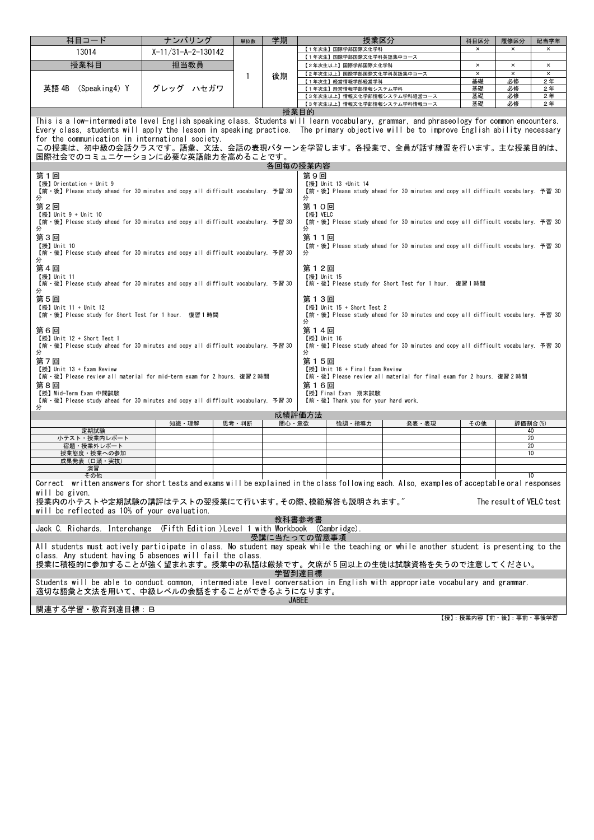| 科目コード                                                                                                                                                                   | ナンバリング               | 単位数          | 学期                                                               | 授業区分                                                                                                  |       | 科目区分     | 履修区分                    | 配当学年     |  |  |  |
|-------------------------------------------------------------------------------------------------------------------------------------------------------------------------|----------------------|--------------|------------------------------------------------------------------|-------------------------------------------------------------------------------------------------------|-------|----------|-------------------------|----------|--|--|--|
| 13014                                                                                                                                                                   | $X-11/31-A-2-130142$ |              |                                                                  | 【1年次生】国際学部国際文化学科                                                                                      |       | $\times$ | $\times$                | $\times$ |  |  |  |
| 授業科目                                                                                                                                                                    | 担当教員                 |              |                                                                  | 【1年次生】国際学部国際文化学科英語集中コース                                                                               |       | $\times$ | $\times$                | $\times$ |  |  |  |
|                                                                                                                                                                         |                      |              |                                                                  | 【2年次生以上】国際学部国際文化学科<br>【2年次生以上】国際学部国際文化学科英語集中コース<br>$\pmb{\times}$<br>$\pmb{\times}$<br>$\pmb{\times}$ |       |          |                         |          |  |  |  |
|                                                                                                                                                                         |                      | $\mathbf{1}$ | 後期                                                               | 【1年次生】経営情報学部経営学科                                                                                      |       | 基礎       | 必修                      | 2年       |  |  |  |
| 英語 4B<br>(Speaking4) Y                                                                                                                                                  | グレッグ ハセガワ            |              |                                                                  | 【1年次生】経営情報学部情報システム学科                                                                                  |       | 基礎       | 必修                      | 2年       |  |  |  |
|                                                                                                                                                                         |                      |              |                                                                  | 【3年次生以上】情報文化学部情報システム学科経営コース                                                                           |       | 基礎<br>基礎 | 必修<br>必修                | 2年<br>2年 |  |  |  |
|                                                                                                                                                                         |                      |              |                                                                  | 【3年次生以上】情報文化学部情報システム学科情報コース<br>授業目的                                                                   |       |          |                         |          |  |  |  |
| This is a low-intermediate level English speaking class. Students will learn vocabulary, grammar, and phraseology for common encounters.                                |                      |              |                                                                  |                                                                                                       |       |          |                         |          |  |  |  |
| Every class, students will apply the lesson in speaking practice. The primary objective will be to improve English ability necessary                                    |                      |              |                                                                  |                                                                                                       |       |          |                         |          |  |  |  |
| for the communication in international society.                                                                                                                         |                      |              |                                                                  |                                                                                                       |       |          |                         |          |  |  |  |
| この授業は、初中級の会話クラスです。語彙、文法、会話の表現パターンを学習します。各授業で、全員が話す練習を行います。主な授業目的は、                                                                                                      |                      |              |                                                                  |                                                                                                       |       |          |                         |          |  |  |  |
| 国際社会でのコミュニケーションに必要な英語能力を高めることです。                                                                                                                                        |                      |              |                                                                  |                                                                                                       |       |          |                         |          |  |  |  |
| 各回毎の授業内容                                                                                                                                                                |                      |              |                                                                  |                                                                                                       |       |          |                         |          |  |  |  |
| 第1回<br>第9回                                                                                                                                                              |                      |              |                                                                  |                                                                                                       |       |          |                         |          |  |  |  |
| 【授】Orientation + Unit 9                                                                                                                                                 |                      |              |                                                                  | 【授】 Unit 13 +Unit 14                                                                                  |       |          |                         |          |  |  |  |
| 【前·後】Please study ahead for 30 minutes and copy all difficult vocabulary. 予習 30<br>分                                                                                    |                      |              |                                                                  | 【前·後】Please study ahead for 30 minutes and copy all difficult vocabulary. 予習 30<br>分                  |       |          |                         |          |  |  |  |
| 第2回                                                                                                                                                                     |                      |              |                                                                  | 第10回                                                                                                  |       |          |                         |          |  |  |  |
| 【授】Unit 9 + Unit 10<br>【授】VELC                                                                                                                                          |                      |              |                                                                  |                                                                                                       |       |          |                         |          |  |  |  |
| 【前·後】 Please study ahead for 30 minutes and copy all difficult vocabulary. 予習 30<br>【前·後】Please study ahead for 30 minutes and copy all difficult vocabulary. 予習 30     |                      |              |                                                                  |                                                                                                       |       |          |                         |          |  |  |  |
| 分<br>分                                                                                                                                                                  |                      |              |                                                                  |                                                                                                       |       |          |                         |          |  |  |  |
| 第3回<br>【授】Unit 10                                                                                                                                                       |                      |              |                                                                  | 第11回                                                                                                  |       |          |                         |          |  |  |  |
| 【前·後】Please study ahead for 30 minutes and copy all difficult vocabulary. 予習 30<br>【前·後】Please study ahead for 30 minutes and copy all difficult vocabulary. 予習 30<br>分 |                      |              |                                                                  |                                                                                                       |       |          |                         |          |  |  |  |
| 分                                                                                                                                                                       |                      |              |                                                                  |                                                                                                       |       |          |                         |          |  |  |  |
| 第4回<br>第12回                                                                                                                                                             |                      |              |                                                                  |                                                                                                       |       |          |                         |          |  |  |  |
| 【授】Unit 11                                                                                                                                                              |                      |              | 【授】Unit 15<br>【前·後】Please study for Short Test for 1 hour. 復習1時間 |                                                                                                       |       |          |                         |          |  |  |  |
| 【前·後】Please study ahead for 30 minutes and copy all difficult vocabulary. 予習 30<br>分                                                                                    |                      |              |                                                                  |                                                                                                       |       |          |                         |          |  |  |  |
| 第5回                                                                                                                                                                     |                      |              |                                                                  | 第13回                                                                                                  |       |          |                         |          |  |  |  |
| 【授】Unit 11 + Unit 12                                                                                                                                                    |                      |              |                                                                  | 【授】Unit 15 + Short Test 2                                                                             |       |          |                         |          |  |  |  |
| 【前·後】 Please study for Short Test for 1 hour. 復習1時間                                                                                                                     |                      |              |                                                                  | 【前·後】 Please study ahead for 30 minutes and copy all difficult vocabulary. 予習 30                      |       |          |                         |          |  |  |  |
|                                                                                                                                                                         |                      |              |                                                                  | 分                                                                                                     |       |          |                         |          |  |  |  |
| 第6回<br>【授】 Unit 12 + Short Test 1                                                                                                                                       |                      |              |                                                                  | 第14回<br>【授】Unit 16                                                                                    |       |          |                         |          |  |  |  |
| 【前·後】Please study ahead for 30 minutes and copy all difficult vocabulary. 予習 30                                                                                         |                      |              |                                                                  | 【前·後】Please study ahead for 30 minutes and copy all difficult vocabulary. 予習 30                       |       |          |                         |          |  |  |  |
| 分                                                                                                                                                                       |                      |              |                                                                  | 分                                                                                                     |       |          |                         |          |  |  |  |
| 第7回                                                                                                                                                                     |                      |              |                                                                  | 第15回                                                                                                  |       |          |                         |          |  |  |  |
| 【授】Unit 13 + Exam Review<br>【前·後】Please review all material for mid-term exam for 2 hours. 復習2時間                                                                        |                      |              |                                                                  | 【授】Unit 16 + Final Exam Review<br>【前·後】Please review all material for final exam for 2 hours. 復習2時間   |       |          |                         |          |  |  |  |
| 第8回                                                                                                                                                                     |                      |              |                                                                  | 第16回                                                                                                  |       |          |                         |          |  |  |  |
| 【授】Mid-Term Exam 中間試験                                                                                                                                                   |                      |              |                                                                  | 【授】Final Exam 期末試験                                                                                    |       |          |                         |          |  |  |  |
| 【前·後】Please study ahead for 30 minutes and copy all difficult vocabulary. 予習 30                                                                                         |                      |              |                                                                  | 【前·後】 Thank you for your hard work.                                                                   |       |          |                         |          |  |  |  |
| 分                                                                                                                                                                       |                      |              |                                                                  | 成績評価方法                                                                                                |       |          |                         |          |  |  |  |
|                                                                                                                                                                         | 知識・理解                | 思考·判断        | 関心・意欲                                                            | 強調・指導力                                                                                                | 発表・表現 | その他      | 評価割合(%)                 |          |  |  |  |
| 定期試験                                                                                                                                                                    |                      |              |                                                                  |                                                                                                       |       |          | 40                      |          |  |  |  |
| 小テスト・授業内レポート<br>宿題・授業外レポート                                                                                                                                              |                      |              |                                                                  |                                                                                                       |       |          | 20<br>20                |          |  |  |  |
| 授業態度・授業への参加                                                                                                                                                             |                      |              |                                                                  |                                                                                                       |       |          | 10                      |          |  |  |  |
| 成果発表 (口頭·実技)                                                                                                                                                            |                      |              |                                                                  |                                                                                                       |       |          |                         |          |  |  |  |
| 演習                                                                                                                                                                      |                      |              |                                                                  |                                                                                                       |       |          |                         |          |  |  |  |
| その他                                                                                                                                                                     |                      |              |                                                                  |                                                                                                       |       |          | 10                      |          |  |  |  |
| Correct written answers for short tests and exams will be explained in the class following each. Also, examples of acceptable oral responses                            |                      |              |                                                                  |                                                                                                       |       |          |                         |          |  |  |  |
| will be given.<br>授業内の小テストや定期試験の講評はテストの翌授業にて行います。その際、模範解答も説明されます。"                                                                                                      |                      |              |                                                                  |                                                                                                       |       |          | The result of VELC test |          |  |  |  |
|                                                                                                                                                                         |                      |              |                                                                  |                                                                                                       |       |          |                         |          |  |  |  |
| will be reflected as 10% of your evaluation.<br>教科書参考書                                                                                                                  |                      |              |                                                                  |                                                                                                       |       |          |                         |          |  |  |  |
| Jack C. Richards. Interchange (Fifth Edition )Level 1 with Workbook (Cambridge).                                                                                        |                      |              |                                                                  |                                                                                                       |       |          |                         |          |  |  |  |
|                                                                                                                                                                         |                      |              |                                                                  | 受講に当たっての留意事項                                                                                          |       |          |                         |          |  |  |  |
| All students must actively participate in class. No student may speak while the teaching or while another student is presenting to the                                  |                      |              |                                                                  |                                                                                                       |       |          |                         |          |  |  |  |
| class. Any student having 5 absences will fail the class.                                                                                                               |                      |              |                                                                  |                                                                                                       |       |          |                         |          |  |  |  |
| 授業に積極的に参加することが強く望まれます。授業中の私語は厳禁です。欠席が5回以上の生徒は試験資格を失うので注意してください。                                                                                                         |                      |              |                                                                  |                                                                                                       |       |          |                         |          |  |  |  |
|                                                                                                                                                                         |                      |              |                                                                  | 学習到達目標                                                                                                |       |          |                         |          |  |  |  |
| Students will be able to conduct common, intermediate level conversation in English with appropriate vocabulary and grammar.                                            |                      |              |                                                                  |                                                                                                       |       |          |                         |          |  |  |  |
| 適切な語彙と文法を用いて、中級レベルの会話をすることができるようになります。                                                                                                                                  |                      |              |                                                                  |                                                                                                       |       |          |                         |          |  |  |  |
|                                                                                                                                                                         |                      |              |                                                                  | <b>JABEE</b>                                                                                          |       |          |                         |          |  |  |  |
| 関連する学習・教育到達目標:B                                                                                                                                                         |                      |              |                                                                  |                                                                                                       |       |          |                         |          |  |  |  |

【授】:授業内容【前・後】:事前・事後学習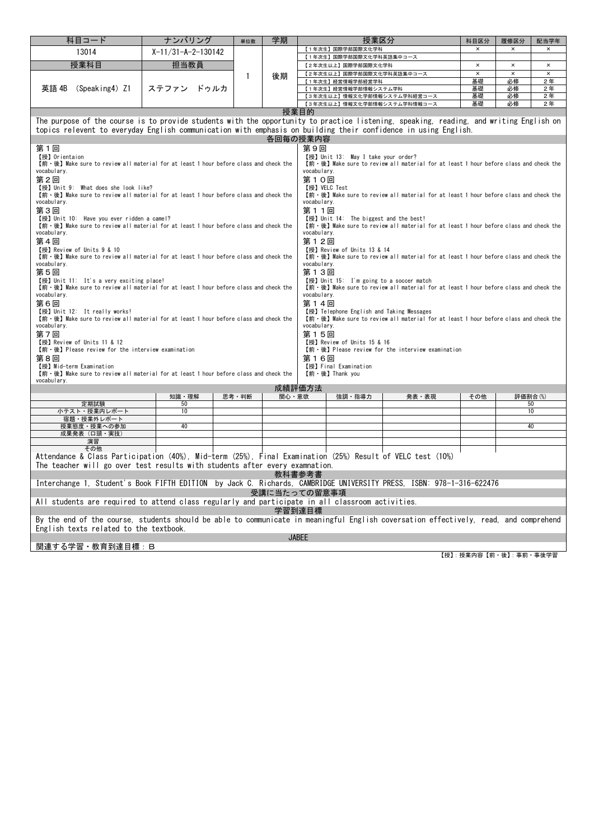| 科目コード                                                                                                                                                                                                               | ナンバリング                                                                                                                                 | 単位数          | 学期    |                                               | 授業区分                  |                                                                                       | 科目区分                       | 履修区分                       | 配当学年                 |  |  |  |  |  |
|---------------------------------------------------------------------------------------------------------------------------------------------------------------------------------------------------------------------|----------------------------------------------------------------------------------------------------------------------------------------|--------------|-------|-----------------------------------------------|-----------------------|---------------------------------------------------------------------------------------|----------------------------|----------------------------|----------------------|--|--|--|--|--|
| 13014                                                                                                                                                                                                               | $X-11/31-A-2-130142$                                                                                                                   |              |       | 【1年次生】国際学部国際文化学科                              |                       |                                                                                       | ×                          | ×                          |                      |  |  |  |  |  |
|                                                                                                                                                                                                                     |                                                                                                                                        |              |       | 【1年次生】国際学部国際文化学科英語集中コース                       |                       |                                                                                       |                            |                            |                      |  |  |  |  |  |
| 授業科目                                                                                                                                                                                                                | 担当教員                                                                                                                                   |              |       | 【2年次生以上】国際学部国際文化学科                            |                       |                                                                                       | $\times$<br>$\pmb{\times}$ | $\times$<br>$\pmb{\times}$ | $\times$<br>$\times$ |  |  |  |  |  |
|                                                                                                                                                                                                                     |                                                                                                                                        | $\mathbf{1}$ | 後期    | 【2年次生以上】国際学部国際文化学科英語集中コース<br>【1年次生】経営情報学部経営学科 |                       |                                                                                       | 基礎                         | 必修                         | 2年                   |  |  |  |  |  |
| 英語 4B<br>(Speaking4) Z1                                                                                                                                                                                             | ステファン<br>ドゥルカ                                                                                                                          |              |       | 【1年次生】経営情報学部情報システム学科                          |                       |                                                                                       | 基礎                         | 必修                         | 2年                   |  |  |  |  |  |
|                                                                                                                                                                                                                     |                                                                                                                                        |              |       |                                               |                       | 【3年次生以上】情報文化学部情報システム学科経営コース<br>基礎<br>必修<br>【3年次生以上】情報文化学部情報システム学科情報コース                |                            |                            |                      |  |  |  |  |  |
|                                                                                                                                                                                                                     |                                                                                                                                        |              |       |                                               |                       |                                                                                       | 基礎                         | 必修                         | 2年                   |  |  |  |  |  |
|                                                                                                                                                                                                                     |                                                                                                                                        |              |       | 授業目的                                          |                       |                                                                                       |                            |                            |                      |  |  |  |  |  |
|                                                                                                                                                                                                                     | The purpose of the course is to provide students with the opportunity to practice listening, speaking, reading, and writing English on |              |       |                                               |                       |                                                                                       |                            |                            |                      |  |  |  |  |  |
|                                                                                                                                                                                                                     | topics relevent to everyday English communication with emphasis on building their confidence in using English.<br>各回毎の授業内容             |              |       |                                               |                       |                                                                                       |                            |                            |                      |  |  |  |  |  |
|                                                                                                                                                                                                                     |                                                                                                                                        |              |       |                                               |                       |                                                                                       |                            |                            |                      |  |  |  |  |  |
| 第1回<br>【授】Orientaion                                                                                                                                                                                                |                                                                                                                                        |              |       | 第9回                                           |                       |                                                                                       |                            |                            |                      |  |  |  |  |  |
| 【授】Unit 13: May I take your order?<br>【前·後】 Make sure to review all material for at least 1 hour before class and check the<br>【前·後】Make sure to review all material for at least 1 hour before class and check the |                                                                                                                                        |              |       |                                               |                       |                                                                                       |                            |                            |                      |  |  |  |  |  |
| vocabulary.<br>vocabulary.                                                                                                                                                                                          |                                                                                                                                        |              |       |                                               |                       |                                                                                       |                            |                            |                      |  |  |  |  |  |
| 第2回<br>第10回                                                                                                                                                                                                         |                                                                                                                                        |              |       |                                               |                       |                                                                                       |                            |                            |                      |  |  |  |  |  |
| 【授】VELC Test<br>【授】Unit 9: What does she look like?<br>【前·後】 Make sure to review all material for at least 1 hour before class and check the                                                                        |                                                                                                                                        |              |       |                                               |                       |                                                                                       |                            |                            |                      |  |  |  |  |  |
| 【前·後】 Make sure to review all material for at least 1 hour before class and check the<br>vocabulary.<br>vocabulary.                                                                                                 |                                                                                                                                        |              |       |                                               |                       |                                                                                       |                            |                            |                      |  |  |  |  |  |
| 第3回<br>第11回                                                                                                                                                                                                         |                                                                                                                                        |              |       |                                               |                       |                                                                                       |                            |                            |                      |  |  |  |  |  |
| 【授】 Unit 10: Have you ever ridden a camel?<br>【授】 Unit 14: The biggest and the best!                                                                                                                                |                                                                                                                                        |              |       |                                               |                       |                                                                                       |                            |                            |                      |  |  |  |  |  |
| 【前·後】 Make sure to review all material for at least 1 hour before class and check the<br>【前·後】 Make sure to review all material for at least 1 hour before class and check the                                      |                                                                                                                                        |              |       |                                               |                       |                                                                                       |                            |                            |                      |  |  |  |  |  |
| vocabulary.                                                                                                                                                                                                         |                                                                                                                                        |              |       | vocabulary.                                   |                       |                                                                                       |                            |                            |                      |  |  |  |  |  |
| 第4回<br>第12回<br>【授】Review of Units 13 & 14                                                                                                                                                                           |                                                                                                                                        |              |       |                                               |                       |                                                                                       |                            |                            |                      |  |  |  |  |  |
| 【授】Review of Units 9 & 10<br>【前·後】 Make sure to review all material for at least 1 hour before class and check the                                                                                                  |                                                                                                                                        |              |       |                                               |                       | 【前·後】 Make sure to review all material for at least 1 hour before class and check the |                            |                            |                      |  |  |  |  |  |
| vocabulary.                                                                                                                                                                                                         |                                                                                                                                        |              |       | vocabulary.                                   |                       |                                                                                       |                            |                            |                      |  |  |  |  |  |
| 第5回<br>第13回                                                                                                                                                                                                         |                                                                                                                                        |              |       |                                               |                       |                                                                                       |                            |                            |                      |  |  |  |  |  |
| 【授】 Unit 11: It's a very exciting place!                                                                                                                                                                            |                                                                                                                                        |              |       |                                               |                       | 【授】 Unit 15: I'm going to a soccer match                                              |                            |                            |                      |  |  |  |  |  |
| 【前·後】 Make sure to review all material for at least 1 hour before class and check the<br>vocabulary.                                                                                                                |                                                                                                                                        |              |       | vocabulary.                                   |                       | 【前·後】 Make sure to review all material for at least 1 hour before class and check the |                            |                            |                      |  |  |  |  |  |
| 第6回                                                                                                                                                                                                                 |                                                                                                                                        |              |       | 第14回                                          |                       |                                                                                       |                            |                            |                      |  |  |  |  |  |
| 【授】Unit 12: It really works!                                                                                                                                                                                        |                                                                                                                                        |              |       |                                               |                       | 【授】 Telephone English and Taking Messages                                             |                            |                            |                      |  |  |  |  |  |
| 【前·後】 Make sure to review all material for at least 1 hour before class and check the                                                                                                                               |                                                                                                                                        |              |       |                                               |                       | 【前·後】 Make sure to review all material for at least 1 hour before class and check the |                            |                            |                      |  |  |  |  |  |
| vocabulary.                                                                                                                                                                                                         |                                                                                                                                        |              |       | vocabulary.                                   |                       |                                                                                       |                            |                            |                      |  |  |  |  |  |
| 第7回<br>【授】Review of Units 11 & 12                                                                                                                                                                                   |                                                                                                                                        |              |       | 第15回<br>【授】Review of Units 15 & 16            |                       |                                                                                       |                            |                            |                      |  |  |  |  |  |
| 【前·後】 Please review for the interview examination                                                                                                                                                                   |                                                                                                                                        |              |       |                                               |                       | 【前·後】 Please review for the interview examination                                     |                            |                            |                      |  |  |  |  |  |
| 第8回                                                                                                                                                                                                                 |                                                                                                                                        |              |       | 第16回                                          |                       |                                                                                       |                            |                            |                      |  |  |  |  |  |
| 【授】Mid-term Examination                                                                                                                                                                                             |                                                                                                                                        |              |       | 【授】 Final Examination                         |                       |                                                                                       |                            |                            |                      |  |  |  |  |  |
| 【前·後】 Make sure to review all material for at least 1 hour before class and check the                                                                                                                               |                                                                                                                                        |              |       | 【前·後】Thank you                                |                       |                                                                                       |                            |                            |                      |  |  |  |  |  |
| vocabulary.                                                                                                                                                                                                         |                                                                                                                                        |              |       | 成績評価方法                                        |                       |                                                                                       |                            |                            |                      |  |  |  |  |  |
|                                                                                                                                                                                                                     | 知識・理解                                                                                                                                  | 思考・判断        | 関心・意欲 |                                               | 強調・指導力                | 発表・表現                                                                                 | その他                        | 評価割合(%)                    |                      |  |  |  |  |  |
| 定期試験                                                                                                                                                                                                                | 50                                                                                                                                     |              |       |                                               |                       |                                                                                       |                            | 50                         |                      |  |  |  |  |  |
| 小テスト・授業内レポート<br>宿題・授業外レポート                                                                                                                                                                                          | 10                                                                                                                                     |              |       |                                               |                       |                                                                                       |                            | 10                         |                      |  |  |  |  |  |
| 授業態度・授業への参加                                                                                                                                                                                                         | 40                                                                                                                                     |              |       |                                               |                       |                                                                                       |                            | 40                         |                      |  |  |  |  |  |
| 成果発表(口頭・実技)                                                                                                                                                                                                         |                                                                                                                                        |              |       |                                               |                       |                                                                                       |                            |                            |                      |  |  |  |  |  |
| 演習                                                                                                                                                                                                                  |                                                                                                                                        |              |       |                                               |                       |                                                                                       |                            |                            |                      |  |  |  |  |  |
| その他<br>Attendance & Class Participation (40%), Mid-term (25%), Final Examination (25%) Result of VELC test (10%)                                                                                                    |                                                                                                                                        |              |       |                                               |                       |                                                                                       |                            |                            |                      |  |  |  |  |  |
| The teacher will go over test results with students after every examnation.                                                                                                                                         |                                                                                                                                        |              |       |                                               |                       |                                                                                       |                            |                            |                      |  |  |  |  |  |
|                                                                                                                                                                                                                     |                                                                                                                                        |              |       | 教科書参考書                                        |                       |                                                                                       |                            |                            |                      |  |  |  |  |  |
| Interchange 1, Student's Book FIFTH EDITION by Jack C. Richards, CAMBRIDGE UNIVERSITY PRESS, ISBN: 978-1-316-622476                                                                                                 |                                                                                                                                        |              |       |                                               |                       |                                                                                       |                            |                            |                      |  |  |  |  |  |
|                                                                                                                                                                                                                     |                                                                                                                                        |              |       | 受講に当たっての留意事項                                  |                       |                                                                                       |                            |                            |                      |  |  |  |  |  |
| All students are required to attend class regularly and participate in all classroom activities.                                                                                                                    |                                                                                                                                        |              |       |                                               |                       |                                                                                       |                            |                            |                      |  |  |  |  |  |
|                                                                                                                                                                                                                     |                                                                                                                                        |              |       | 学習到達目標                                        |                       |                                                                                       |                            |                            |                      |  |  |  |  |  |
| By the end of the course, students should be able to communicate in meaningful English coversation effectively, read, and comprehend                                                                                |                                                                                                                                        |              |       |                                               |                       |                                                                                       |                            |                            |                      |  |  |  |  |  |
| English texts related to the textbook.                                                                                                                                                                              |                                                                                                                                        |              |       |                                               |                       |                                                                                       |                            |                            |                      |  |  |  |  |  |
|                                                                                                                                                                                                                     |                                                                                                                                        |              |       | <b>JABEE</b>                                  |                       |                                                                                       |                            |                            |                      |  |  |  |  |  |
| 関連する学習・教育到達目標:B                                                                                                                                                                                                     |                                                                                                                                        |              |       |                                               |                       |                                                                                       |                            |                            |                      |  |  |  |  |  |
|                                                                                                                                                                                                                     |                                                                                                                                        |              |       |                                               | 【授】:授業内容【前・後】:事前・事後学習 |                                                                                       |                            |                            |                      |  |  |  |  |  |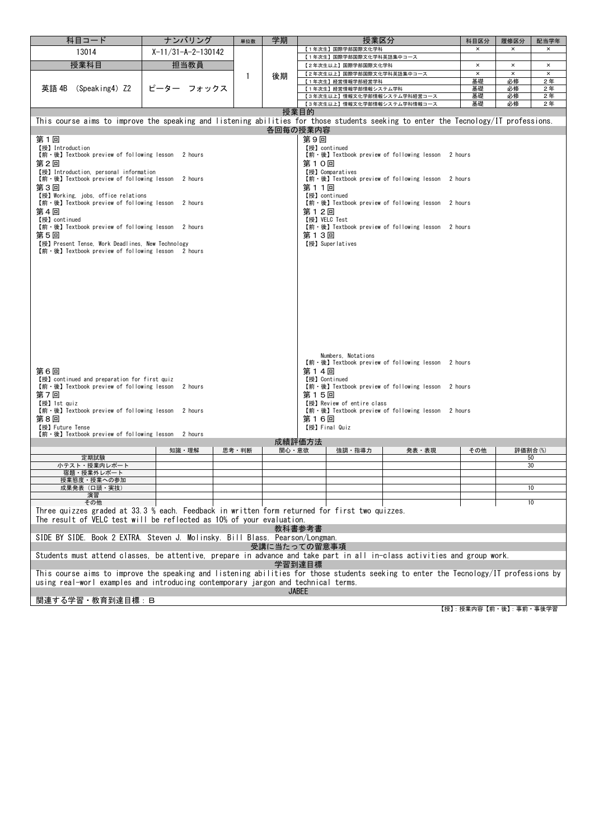| 科目コード                                                                                                                                | ナンバリング                                                                                                          | 単位数   | 学期           |              | 授業区分                                            |                                                   | 科目区分                 | 履修区分                 | 配当学年                       |
|--------------------------------------------------------------------------------------------------------------------------------------|-----------------------------------------------------------------------------------------------------------------|-------|--------------|--------------|-------------------------------------------------|---------------------------------------------------|----------------------|----------------------|----------------------------|
| 13014                                                                                                                                | $X-11/31-A-2-130142$                                                                                            |       |              |              | 【1年次生】国際学部国際文化学科                                |                                                   | $\times$             | ×                    | $\times$                   |
|                                                                                                                                      |                                                                                                                 |       |              |              | 【1年次生】国際学部国際文化学科英語集中コース                         |                                                   |                      |                      |                            |
| 授業科目                                                                                                                                 | 担当教員                                                                                                            |       |              |              | 【2年次生以上】国際学部国際文化学科<br>【2年次生以上】国際学部国際文化学科英語集中コース |                                                   | $\times$<br>$\times$ | $\times$<br>$\times$ | $\times$<br>$\pmb{\times}$ |
|                                                                                                                                      |                                                                                                                 | 1     | 後期           |              | 【1年次生】経営情報学部経営学科                                |                                                   | 基礎                   | 必修                   | 2年                         |
| 英語 4B<br>(Speaking4) Z2                                                                                                              | ピーター<br>フォックス                                                                                                   |       |              |              | 【1年次生】経営情報学部情報システム学科                            |                                                   | 基礎                   | 必修                   | 2年                         |
|                                                                                                                                      |                                                                                                                 |       |              |              | 【3年次生以上】情報文化学部情報システム学科経営コース                     |                                                   | 基礎                   | 必修                   | 2年                         |
|                                                                                                                                      |                                                                                                                 |       |              |              | 【3年次生以上】情報文化学部情報システム学科情報コース                     |                                                   | 基礎                   | 必修                   | 2年                         |
|                                                                                                                                      |                                                                                                                 |       |              | 授業目的         |                                                 |                                                   |                      |                      |                            |
| This course aims to improve the speaking and listening abilities for those students seeking to enter the Tecnology/IT professions.   |                                                                                                                 |       | 各回毎の授業内容     |              |                                                 |                                                   |                      |                      |                            |
| 第1回                                                                                                                                  |                                                                                                                 |       |              | 第9回          |                                                 |                                                   |                      |                      |                            |
| 【授】 Introduction                                                                                                                     |                                                                                                                 |       |              |              | 【授】continued                                    |                                                   |                      |                      |                            |
| 【前·後】 Textbook preview of following lesson 2 hours                                                                                   |                                                                                                                 |       |              |              |                                                 | 【前·後】Textbook preview of following lesson 2 hours |                      |                      |                            |
| 第2回                                                                                                                                  |                                                                                                                 |       |              | 第10回         |                                                 |                                                   |                      |                      |                            |
| 【授】 Introduction, personal information                                                                                               |                                                                                                                 |       |              |              | 【授】Comparatives                                 |                                                   |                      |                      |                            |
| 第3回                                                                                                                                  | 【前·後】 Textbook preview of following lesson 2 hours<br>【前·後】Textbook preview of following lesson 2 hours<br>第11回 |       |              |              |                                                 |                                                   |                      |                      |                            |
| 【授】Working, jobs, office relations                                                                                                   |                                                                                                                 |       |              |              | 【授】continued                                    |                                                   |                      |                      |                            |
| 【前·後】 Textbook preview of following lesson 2 hours                                                                                   |                                                                                                                 |       |              |              |                                                 | 【前·後】Textbook preview of following lesson 2 hours |                      |                      |                            |
| 第4回                                                                                                                                  |                                                                                                                 |       |              | 第12回         |                                                 |                                                   |                      |                      |                            |
| 【授】continued                                                                                                                         |                                                                                                                 |       |              |              | 【授】VELC Test                                    |                                                   |                      |                      |                            |
| 【前·後】 Textbook preview of following lesson 2 hours                                                                                   |                                                                                                                 |       |              |              |                                                 | 【前·後】Textbook preview of following lesson 2 hours |                      |                      |                            |
| 第5回<br>【授】Present Tense, Work Deadlines, New Technology                                                                              |                                                                                                                 |       |              | 第13回         | 【授】Superlatives                                 |                                                   |                      |                      |                            |
| 【前·後】 Textbook preview of following lesson 2 hours                                                                                   |                                                                                                                 |       |              |              |                                                 |                                                   |                      |                      |                            |
|                                                                                                                                      |                                                                                                                 |       |              |              |                                                 |                                                   |                      |                      |                            |
|                                                                                                                                      |                                                                                                                 |       |              |              |                                                 |                                                   |                      |                      |                            |
|                                                                                                                                      |                                                                                                                 |       |              |              |                                                 |                                                   |                      |                      |                            |
|                                                                                                                                      |                                                                                                                 |       |              |              |                                                 |                                                   |                      |                      |                            |
|                                                                                                                                      |                                                                                                                 |       |              |              |                                                 |                                                   |                      |                      |                            |
|                                                                                                                                      |                                                                                                                 |       |              |              |                                                 |                                                   |                      |                      |                            |
|                                                                                                                                      |                                                                                                                 |       |              |              |                                                 |                                                   |                      |                      |                            |
|                                                                                                                                      |                                                                                                                 |       |              |              |                                                 |                                                   |                      |                      |                            |
|                                                                                                                                      |                                                                                                                 |       |              |              |                                                 |                                                   |                      |                      |                            |
|                                                                                                                                      |                                                                                                                 |       |              |              |                                                 |                                                   |                      |                      |                            |
|                                                                                                                                      |                                                                                                                 |       |              |              | Numbers, Notations                              |                                                   |                      |                      |                            |
|                                                                                                                                      |                                                                                                                 |       |              |              |                                                 | 【前·後】Textbook preview of following lesson 2 hours |                      |                      |                            |
| 第6回                                                                                                                                  |                                                                                                                 |       |              | 第14回         |                                                 |                                                   |                      |                      |                            |
| 【授】 continued and preparation for first quiz<br>【前·後】 Textbook preview of following lesson 2 hours                                   |                                                                                                                 |       |              |              | 【授】Continued                                    | 【前·後】Textbook preview of following lesson 2 hours |                      |                      |                            |
| 第7回                                                                                                                                  |                                                                                                                 |       |              | 第15回         |                                                 |                                                   |                      |                      |                            |
| 【授】1st quiz                                                                                                                          |                                                                                                                 |       |              |              | 【授】Review of entire class                       |                                                   |                      |                      |                            |
| 【前·後】 Textbook preview of following lesson 2 hours                                                                                   |                                                                                                                 |       |              |              |                                                 | 【前·後】Textbook preview of following lesson 2 hours |                      |                      |                            |
| 第8回                                                                                                                                  |                                                                                                                 |       |              | 第16回         |                                                 |                                                   |                      |                      |                            |
| 【授】Future Tense<br>【前·後】 Textbook preview of following lesson 2 hours                                                                |                                                                                                                 |       |              |              | 【授】Final Quiz                                   |                                                   |                      |                      |                            |
|                                                                                                                                      |                                                                                                                 |       |              | 成績評価方法       |                                                 |                                                   |                      |                      |                            |
|                                                                                                                                      | 知識・理解                                                                                                           | 思考・判断 | 関心・意欲        |              | 強調・指導力                                          | 発表・表現                                             | その他                  | 評価割合(%)              |                            |
| 定期試験                                                                                                                                 |                                                                                                                 |       |              |              |                                                 |                                                   |                      | 50                   |                            |
| 小テスト・授業内レポート<br>宿題・授業外レポート                                                                                                           |                                                                                                                 |       |              |              |                                                 |                                                   |                      | 30                   |                            |
| 授業態度・授業への参加                                                                                                                          |                                                                                                                 |       |              |              |                                                 |                                                   |                      |                      |                            |
| 成果発表(口頭・実技)                                                                                                                          |                                                                                                                 |       |              |              |                                                 |                                                   |                      |                      | 10                         |
| 演習<br>その他                                                                                                                            |                                                                                                                 |       |              |              |                                                 |                                                   |                      |                      | 10                         |
| Three quizzes graded at 33.3 % each. Feedback in written form returned for first two quizzes.                                        |                                                                                                                 |       |              |              |                                                 |                                                   |                      |                      |                            |
| The result of VELC test will be reflected as 10% of your evaluation.                                                                 |                                                                                                                 |       |              |              |                                                 |                                                   |                      |                      |                            |
|                                                                                                                                      |                                                                                                                 |       |              | 教科書参考書       |                                                 |                                                   |                      |                      |                            |
| SIDE BY SIDE. Book 2 EXTRA. Steven J. Molinsky. Bill Blass. Pearson/Longman.                                                         |                                                                                                                 |       |              |              |                                                 |                                                   |                      |                      |                            |
|                                                                                                                                      |                                                                                                                 |       | 受講に当たっての留意事項 |              |                                                 |                                                   |                      |                      |                            |
| Students must attend classes, be attentive, prepare in advance and take part in all in-class activities and group work.              |                                                                                                                 |       |              |              |                                                 |                                                   |                      |                      |                            |
|                                                                                                                                      |                                                                                                                 |       |              | 学習到達目標       |                                                 |                                                   |                      |                      |                            |
| This course aims to improve the speaking and listening abilities for those students seeking to enter the Tecnology/IT professions by |                                                                                                                 |       |              |              |                                                 |                                                   |                      |                      |                            |
| using real-worl examples and introducing contemporary jargon and technical terms.                                                    |                                                                                                                 |       |              |              |                                                 |                                                   |                      |                      |                            |
|                                                                                                                                      |                                                                                                                 |       |              | <b>JABEE</b> |                                                 |                                                   |                      |                      |                            |
| 関連する学習·教育到達目標: B                                                                                                                     |                                                                                                                 |       |              |              |                                                 |                                                   |                      |                      |                            |

【授】:授業内容【前・後】:事前・事後学習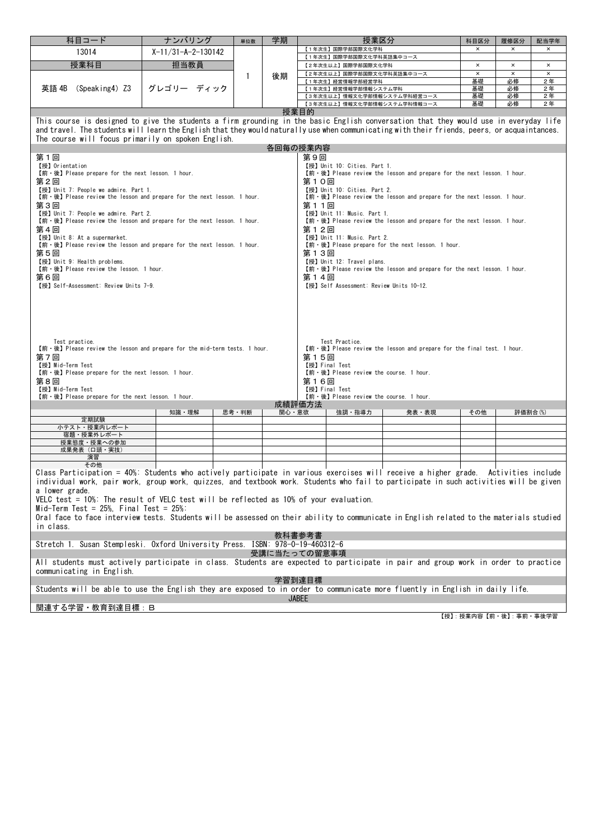| 科目コード                                                                                                                                                  | ナンバリング               | 単位数          | 学期     | 授業区分                                                                                                                                          | 科目区分                    | 履修区分           | 配当学年     |  |
|--------------------------------------------------------------------------------------------------------------------------------------------------------|----------------------|--------------|--------|-----------------------------------------------------------------------------------------------------------------------------------------------|-------------------------|----------------|----------|--|
| 13014                                                                                                                                                  | $X-11/31-A-2-130142$ |              |        | 【1年次生】国際学部国際文化学科                                                                                                                              | $\times$                | $\pmb{\times}$ | ×        |  |
| 授業科目                                                                                                                                                   | 担当教員                 |              |        | 【1年次生】国際学部国際文化学科英語集中コース<br>【2年次生以上】国際学部国際文化学科                                                                                                 | $\pmb{\times}$          | $\pmb{\times}$ | $\times$ |  |
|                                                                                                                                                        |                      |              |        | 【2年次生以上】国際学部国際文化学科英語集中コース                                                                                                                     | $\pmb{\times}$          | $\times$       | ×        |  |
|                                                                                                                                                        |                      | $\mathbf{1}$ | 後期     | 【1年次生】経営情報学部経営学科                                                                                                                              | 基礎                      | 必修             | 2年       |  |
| 英語 4B<br>(Speaking4) Z3                                                                                                                                | グレゴリー ディック           |              |        | 【1年次生】経営情報学部情報システム学科                                                                                                                          | 基礎                      | 必修             | 2年       |  |
|                                                                                                                                                        |                      |              |        | 【3年次生以上】情報文化学部情報システム学科経営コース<br>【3年次生以上】情報文化学部情報システム学科情報コース                                                                                    | 基礎<br>基礎                | 必修<br>必修       | 2年<br>2年 |  |
|                                                                                                                                                        |                      |              |        | 授業目的                                                                                                                                          |                         |                |          |  |
|                                                                                                                                                        |                      |              |        | This course is designed to give the students a firm grounding in the basic English conversation that they would use in everyday life          |                         |                |          |  |
|                                                                                                                                                        |                      |              |        | and travel. The students will learn the English that they would naturally use when communicating with their friends, peers, or acquaintances. |                         |                |          |  |
| The course will focus primarily on spoken English.                                                                                                     |                      |              |        |                                                                                                                                               |                         |                |          |  |
|                                                                                                                                                        |                      |              |        | 各回毎の授業内容                                                                                                                                      |                         |                |          |  |
| 第1回                                                                                                                                                    |                      |              |        | 第9回                                                                                                                                           |                         |                |          |  |
| 【授】Orientation                                                                                                                                         |                      |              |        | 【授】Unit 10: Cities. Part 1.                                                                                                                   |                         |                |          |  |
| 【前·後】 Please prepare for the next lesson. 1 hour.                                                                                                      |                      |              |        | 【前·後】 Please review the lesson and prepare for the next lesson. 1 hour.                                                                       |                         |                |          |  |
| 第2回<br>【授】Unit 7: People we admire. Part 1.                                                                                                            |                      |              |        | 第10回<br>【授】Unit 10: Cities. Part 2.                                                                                                           |                         |                |          |  |
| 【前 · 後】 Please review the lesson and prepare for the next lesson. 1 hour.<br>【前 · 後】 Please review the lesson and prepare for the next lesson. 1 hour. |                      |              |        |                                                                                                                                               |                         |                |          |  |
| 第3回                                                                                                                                                    | 第11回                 |              |        |                                                                                                                                               |                         |                |          |  |
| 【授】Unit 7: People we admire. Part 2.<br>【授】Unit 11: Music. Part 1.                                                                                     |                      |              |        |                                                                                                                                               |                         |                |          |  |
| 【前 · 後】 Please review the lesson and prepare for the next lesson. 1 hour.<br>【前 · 後】 Please review the lesson and prepare for the next lesson. 1 hour. |                      |              |        |                                                                                                                                               |                         |                |          |  |
| 第4回<br>第12回<br>【授】 Unit 8: At a supermarket.<br>【授】Unit 11: Music. Part 2.                                                                             |                      |              |        |                                                                                                                                               |                         |                |          |  |
| 【前 · 後】 Please review the lesson and prepare for the next lesson. 1 hour.<br>【前·後】 Please prepare for the next lesson. 1 hour.                         |                      |              |        |                                                                                                                                               |                         |                |          |  |
| 第5回                                                                                                                                                    |                      |              |        | 第13回                                                                                                                                          |                         |                |          |  |
| 【授】Unit 9: Health problems.<br>【授】Unit 12: Travel plans.                                                                                               |                      |              |        |                                                                                                                                               |                         |                |          |  |
| 【前·後】 Please review the lesson. 1 hour.<br>【前 · 後】 Please review the lesson and prepare for the next lesson. 1 hour.                                   |                      |              |        |                                                                                                                                               |                         |                |          |  |
| 第14回<br>第6回<br>【授】Self-Assessment: Review Units 7-9.<br>【授】Self Assessment: Review Units 10-12.                                                        |                      |              |        |                                                                                                                                               |                         |                |          |  |
|                                                                                                                                                        |                      |              |        |                                                                                                                                               |                         |                |          |  |
|                                                                                                                                                        |                      |              |        |                                                                                                                                               |                         |                |          |  |
|                                                                                                                                                        |                      |              |        |                                                                                                                                               |                         |                |          |  |
|                                                                                                                                                        |                      |              |        |                                                                                                                                               |                         |                |          |  |
|                                                                                                                                                        |                      |              |        |                                                                                                                                               |                         |                |          |  |
| Test practice.                                                                                                                                         |                      |              |        | Test Practice.                                                                                                                                |                         |                |          |  |
| 【前 · 後】 Please review the lesson and prepare for the mid-term tests. 1 hour.                                                                           |                      |              |        | 【前·後】 Please review the lesson and prepare for the final test. 1 hour.                                                                        |                         |                |          |  |
| 第7回                                                                                                                                                    |                      |              |        | 第15回                                                                                                                                          |                         |                |          |  |
| 【授】Mid-Term Test<br>【前 · 後】 Please prepare for the next lesson. 1 hour.                                                                                |                      |              |        | 【授】Final Test<br>【前·後】 Please review the course. 1 hour.                                                                                      |                         |                |          |  |
| 第8回                                                                                                                                                    |                      |              |        | 第16回                                                                                                                                          |                         |                |          |  |
| 【授】Mid-Term Test                                                                                                                                       |                      |              |        | 【授】Final Test                                                                                                                                 |                         |                |          |  |
| 【前·後】 Please prepare for the next lesson. 1 hour.                                                                                                      |                      |              |        | 【前·後】 Please review the course. 1 hour.                                                                                                       |                         |                |          |  |
|                                                                                                                                                        | 知識・理解                | 思考・判断        | 関心・意欲  | 成績評価方法<br>強調・指導力<br>発表・表現                                                                                                                     | その他                     | 評価割合(%)        |          |  |
| 定期試験                                                                                                                                                   |                      |              |        |                                                                                                                                               |                         |                |          |  |
| 小テスト・授業内レポート                                                                                                                                           |                      |              |        |                                                                                                                                               |                         |                |          |  |
| 宿題・授業外レポート                                                                                                                                             |                      |              |        |                                                                                                                                               |                         |                |          |  |
| 授業態度・授業への参加<br>成果発表 (口頭·実技)                                                                                                                            |                      |              |        |                                                                                                                                               |                         |                |          |  |
| 演習                                                                                                                                                     |                      |              |        |                                                                                                                                               |                         |                |          |  |
| その他                                                                                                                                                    |                      |              |        |                                                                                                                                               |                         |                |          |  |
|                                                                                                                                                        |                      |              |        | Class Participation = 40%: Students who actively participate in various exercises will receive a higher grade. Activities include             |                         |                |          |  |
|                                                                                                                                                        |                      |              |        | individual work, pair work, group work, quizzes, and textbook work. Students who fail to participate in such activities will be given         |                         |                |          |  |
| a lower grade.<br>VELC test = 10%: The result of VELC test will be reflected as 10% of your evaluation.                                                |                      |              |        |                                                                                                                                               |                         |                |          |  |
| Mid-Term Test = $25\%$ . Final Test = $25\%$ :                                                                                                         |                      |              |        |                                                                                                                                               |                         |                |          |  |
|                                                                                                                                                        |                      |              |        | Oral face to face interview tests. Students will be assessed on their ability to communicate in English related to the materials studied      |                         |                |          |  |
| in class.                                                                                                                                              |                      |              |        |                                                                                                                                               |                         |                |          |  |
|                                                                                                                                                        |                      |              |        | 教科書参考書                                                                                                                                        |                         |                |          |  |
| Stretch 1. Susan Stempleski. Oxford University Press. ISBN: 978-0-19-460312-6                                                                          |                      |              |        |                                                                                                                                               |                         |                |          |  |
|                                                                                                                                                        |                      |              |        | 受講に当たっての留意事項                                                                                                                                  |                         |                |          |  |
|                                                                                                                                                        |                      |              |        | All students must actively participate in class. Students are expected to participate in pair and group work in order to practice             |                         |                |          |  |
| communicating in English.                                                                                                                              |                      |              |        |                                                                                                                                               |                         |                |          |  |
|                                                                                                                                                        |                      |              | 学習到達目標 |                                                                                                                                               |                         |                |          |  |
|                                                                                                                                                        |                      |              |        | Students will be able to use the English they are exposed to in order to communicate more fluently in English in daily life.                  |                         |                |          |  |
|                                                                                                                                                        |                      |              |        | <b>JABEE</b>                                                                                                                                  |                         |                |          |  |
| 関連する学習・教育到達目標:B                                                                                                                                        |                      |              |        |                                                                                                                                               |                         |                |          |  |
|                                                                                                                                                        |                      |              |        |                                                                                                                                               | 【授】: 授業内容【前・後】: 事前・事後学習 |                |          |  |